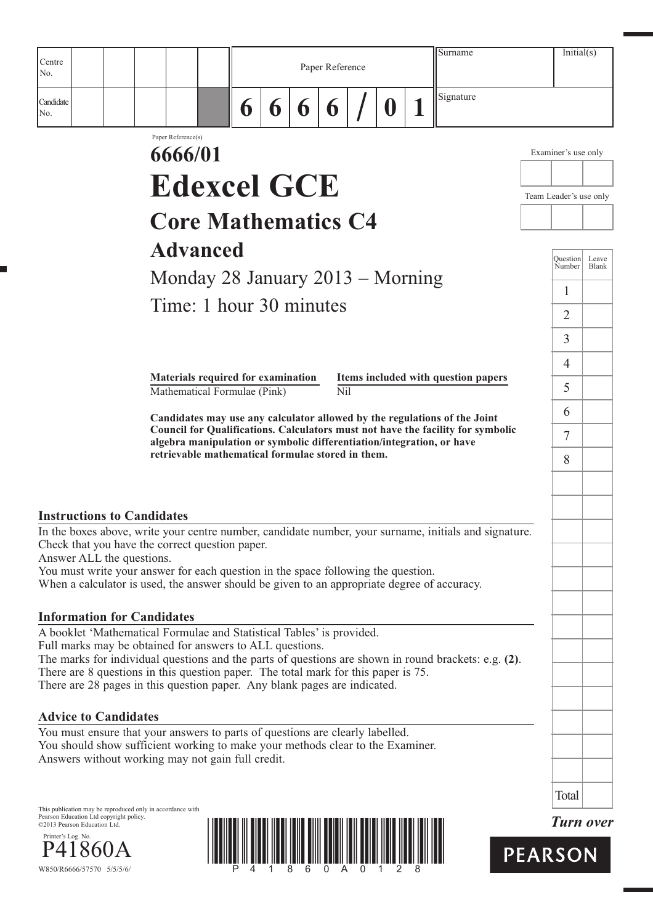| Centre                                                                                                                              |                    |                                                   |   |   |   | Paper Reference |   | Surname                                                                                                                                                      |                        | Initial(s)                |                |
|-------------------------------------------------------------------------------------------------------------------------------------|--------------------|---------------------------------------------------|---|---|---|-----------------|---|--------------------------------------------------------------------------------------------------------------------------------------------------------------|------------------------|---------------------------|----------------|
| No.                                                                                                                                 |                    |                                                   |   |   |   |                 |   |                                                                                                                                                              |                        |                           |                |
| Candidate<br>No.                                                                                                                    |                    |                                                   | 6 | 6 | 6 | 6               | 0 | Signature                                                                                                                                                    |                        |                           |                |
|                                                                                                                                     | Paper Reference(s) |                                                   |   |   |   |                 |   |                                                                                                                                                              |                        |                           |                |
|                                                                                                                                     | 6666/01            |                                                   |   |   |   |                 |   |                                                                                                                                                              |                        | Examiner's use only       |                |
|                                                                                                                                     |                    | <b>Edexcel GCE</b>                                |   |   |   |                 |   |                                                                                                                                                              |                        |                           |                |
|                                                                                                                                     |                    |                                                   |   |   |   |                 |   |                                                                                                                                                              | Team Leader's use only |                           |                |
|                                                                                                                                     |                    | <b>Core Mathematics C4</b>                        |   |   |   |                 |   |                                                                                                                                                              |                        |                           |                |
|                                                                                                                                     |                    | <b>Advanced</b>                                   |   |   |   |                 |   |                                                                                                                                                              |                        |                           |                |
|                                                                                                                                     |                    |                                                   |   |   |   |                 |   |                                                                                                                                                              |                        | <b>Question</b><br>Number | Leave<br>Blank |
|                                                                                                                                     |                    | Monday 28 January $2013 -$ Morning                |   |   |   |                 |   |                                                                                                                                                              |                        | 1                         |                |
|                                                                                                                                     |                    | Time: 1 hour 30 minutes                           |   |   |   |                 |   |                                                                                                                                                              |                        | $\overline{2}$            |                |
|                                                                                                                                     |                    |                                                   |   |   |   |                 |   |                                                                                                                                                              |                        | $\overline{3}$            |                |
|                                                                                                                                     |                    |                                                   |   |   |   |                 |   |                                                                                                                                                              |                        | 4                         |                |
|                                                                                                                                     |                    | Materials required for examination                |   |   |   |                 |   | Items included with question papers                                                                                                                          |                        | 5                         |                |
|                                                                                                                                     |                    | Mathematical Formulae (Pink)                      |   |   |   | Nil             |   |                                                                                                                                                              |                        |                           |                |
|                                                                                                                                     |                    |                                                   |   |   |   |                 |   | Candidates may use any calculator allowed by the regulations of the Joint<br>Council for Qualifications. Calculators must not have the facility for symbolic |                        | 6                         |                |
|                                                                                                                                     |                    | retrievable mathematical formulae stored in them. |   |   |   |                 |   | algebra manipulation or symbolic differentiation/integration, or have                                                                                        |                        | 7                         |                |
|                                                                                                                                     |                    |                                                   |   |   |   |                 |   |                                                                                                                                                              |                        | 8                         |                |
|                                                                                                                                     |                    |                                                   |   |   |   |                 |   |                                                                                                                                                              |                        |                           |                |
| <b>Instructions to Candidates</b>                                                                                                   |                    |                                                   |   |   |   |                 |   |                                                                                                                                                              |                        |                           |                |
|                                                                                                                                     |                    |                                                   |   |   |   |                 |   | In the boxes above, write your centre number, candidate number, your surname, initials and signature.                                                        |                        |                           |                |
| Check that you have the correct question paper.<br>Answer ALL the questions.                                                        |                    |                                                   |   |   |   |                 |   |                                                                                                                                                              |                        |                           |                |
| You must write your answer for each question in the space following the question.                                                   |                    |                                                   |   |   |   |                 |   |                                                                                                                                                              |                        |                           |                |
| When a calculator is used, the answer should be given to an appropriate degree of accuracy.                                         |                    |                                                   |   |   |   |                 |   |                                                                                                                                                              |                        |                           |                |
| <b>Information for Candidates</b>                                                                                                   |                    |                                                   |   |   |   |                 |   |                                                                                                                                                              |                        |                           |                |
| A booklet 'Mathematical Formulae and Statistical Tables' is provided.<br>Full marks may be obtained for answers to ALL questions.   |                    |                                                   |   |   |   |                 |   |                                                                                                                                                              |                        |                           |                |
|                                                                                                                                     |                    |                                                   |   |   |   |                 |   | The marks for individual questions and the parts of questions are shown in round brackets: e.g. $(2)$ .                                                      |                        |                           |                |
| There are 8 questions in this question paper. The total mark for this paper is 75.                                                  |                    |                                                   |   |   |   |                 |   |                                                                                                                                                              |                        |                           |                |
| There are 28 pages in this question paper. Any blank pages are indicated.                                                           |                    |                                                   |   |   |   |                 |   |                                                                                                                                                              |                        |                           |                |
| <b>Advice to Candidates</b>                                                                                                         |                    |                                                   |   |   |   |                 |   |                                                                                                                                                              |                        |                           |                |
| You must ensure that your answers to parts of questions are clearly labelled.                                                       |                    |                                                   |   |   |   |                 |   |                                                                                                                                                              |                        |                           |                |
| You should show sufficient working to make your methods clear to the Examiner.<br>Answers without working may not gain full credit. |                    |                                                   |   |   |   |                 |   |                                                                                                                                                              |                        |                           |                |
|                                                                                                                                     |                    |                                                   |   |   |   |                 |   |                                                                                                                                                              |                        |                           |                |
|                                                                                                                                     |                    |                                                   |   |   |   |                 |   |                                                                                                                                                              |                        | Total                     |                |
| This publication may be reproduced only in accordance with                                                                          |                    |                                                   |   |   |   |                 |   |                                                                                                                                                              |                        |                           |                |

This publication may be reproduced only in accordance with Pearson Education Ltd copyright policy. ©2013 Pearson Education Ltd.



J.



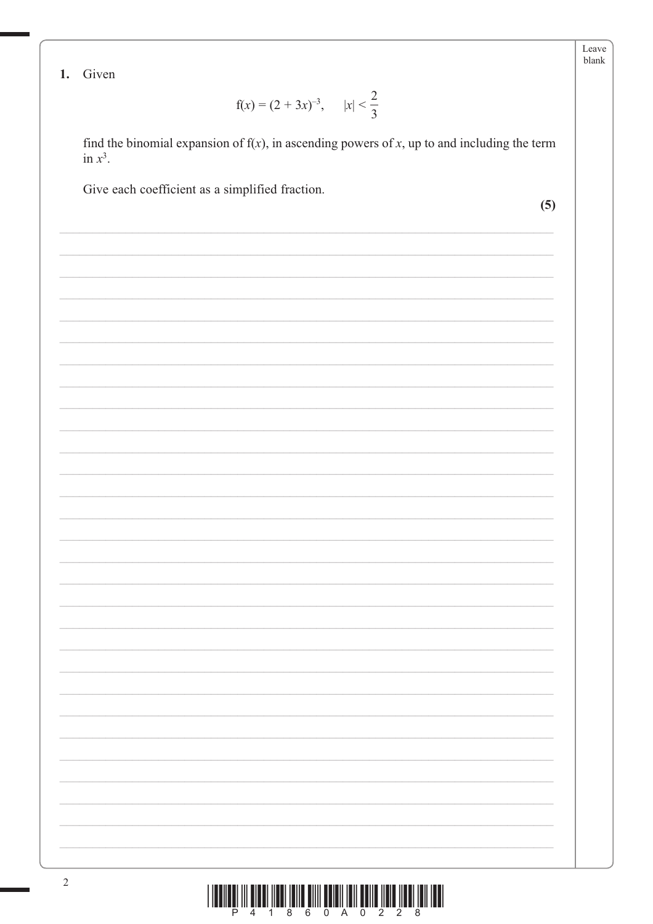Leave blank

1. Given

$$
f(x) = (2 + 3x)^{-3}, \qquad |x| < \frac{2}{3}
$$

find the binomial expansion of  $f(x)$ , in ascending powers of x, up to and including the term in  $x^3$ .

Give each coefficient as a simplified fraction.

 $(5)$ 

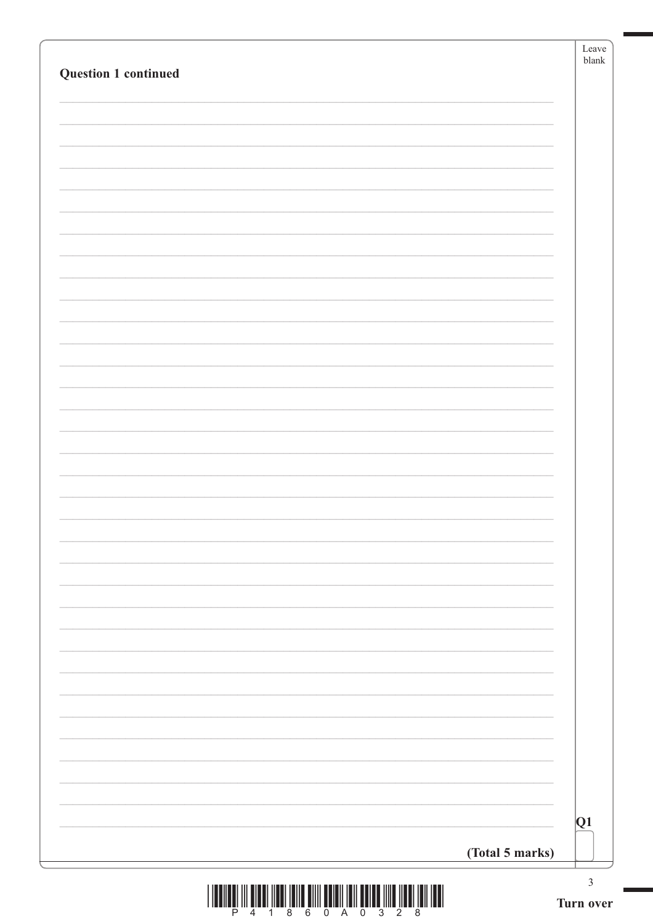| Question 1 continued |                 |
|----------------------|-----------------|
|                      |                 |
|                      |                 |
|                      |                 |
|                      |                 |
|                      |                 |
|                      |                 |
|                      |                 |
|                      |                 |
|                      |                 |
|                      |                 |
|                      |                 |
|                      |                 |
|                      |                 |
|                      |                 |
|                      |                 |
|                      |                 |
|                      | Q1              |
|                      | (Total 5 marks) |

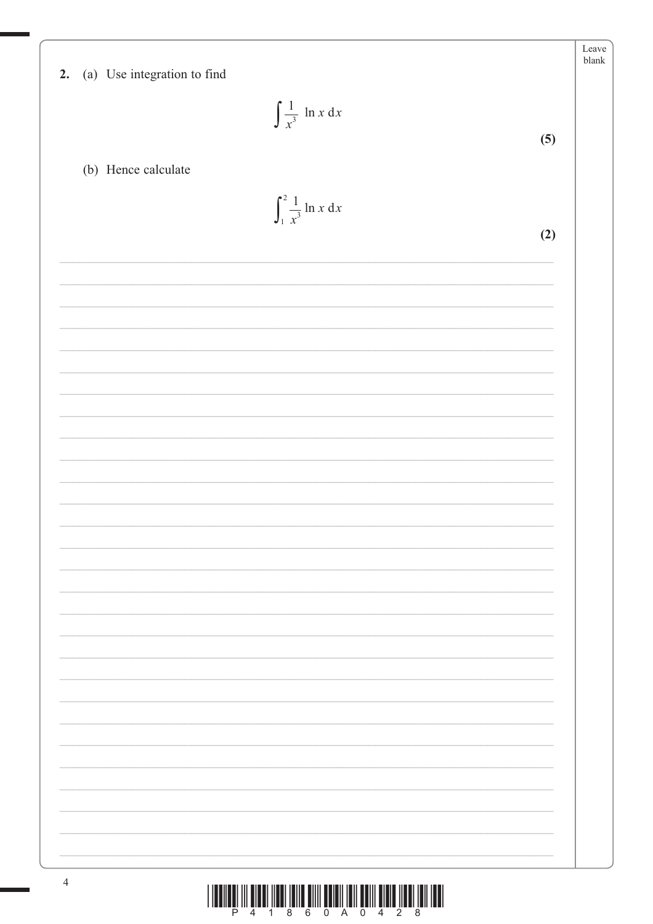| 2. (a) Use integration to find       | Leave<br>${\tt blank}$ |
|--------------------------------------|------------------------|
| $\int \frac{1}{x^3}$ ln x dx         |                        |
|                                      | (5)                    |
| (b) Hence calculate                  |                        |
| $\int_1^2 \frac{1}{x^3} \ln x \, dx$ |                        |
|                                      | (2)                    |
|                                      |                        |
|                                      |                        |
|                                      |                        |
|                                      |                        |
|                                      |                        |
|                                      |                        |
|                                      |                        |
|                                      |                        |
|                                      |                        |
|                                      |                        |
|                                      |                        |
|                                      |                        |
|                                      |                        |
|                                      |                        |
|                                      |                        |
|                                      |                        |
|                                      |                        |
|                                      |                        |
|                                      |                        |
|                                      |                        |

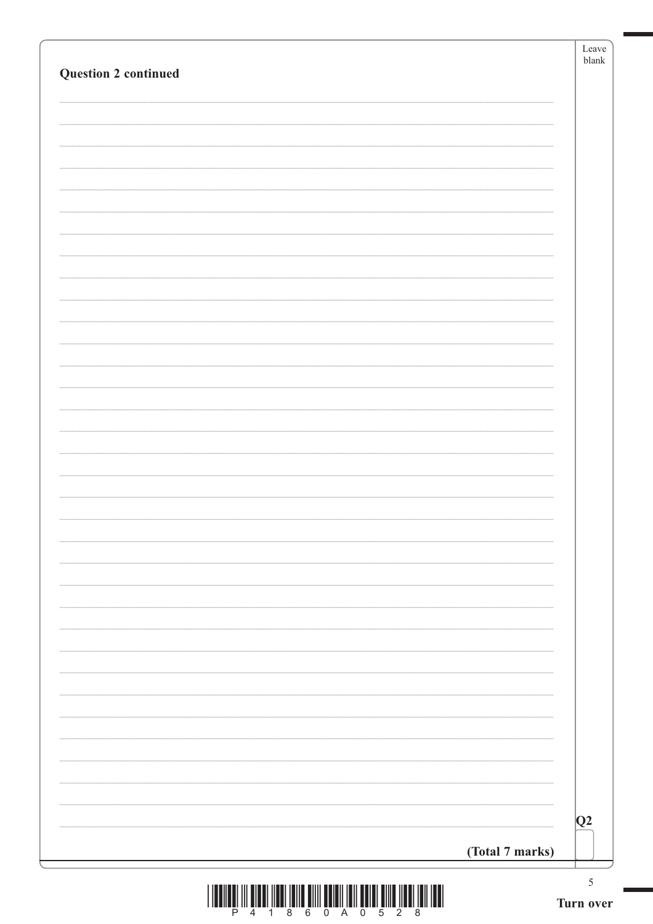| Question 2 continued |                 |    |
|----------------------|-----------------|----|
|                      |                 |    |
|                      |                 |    |
|                      |                 |    |
|                      |                 |    |
|                      |                 |    |
|                      |                 |    |
|                      |                 |    |
|                      |                 |    |
|                      |                 |    |
|                      |                 |    |
|                      |                 |    |
|                      |                 |    |
|                      |                 |    |
|                      |                 |    |
|                      |                 |    |
|                      |                 |    |
|                      |                 |    |
|                      |                 |    |
|                      |                 |    |
|                      |                 |    |
|                      |                 |    |
|                      |                 |    |
|                      |                 |    |
|                      |                 |    |
|                      |                 | Q2 |
|                      | (Total 7 marks) |    |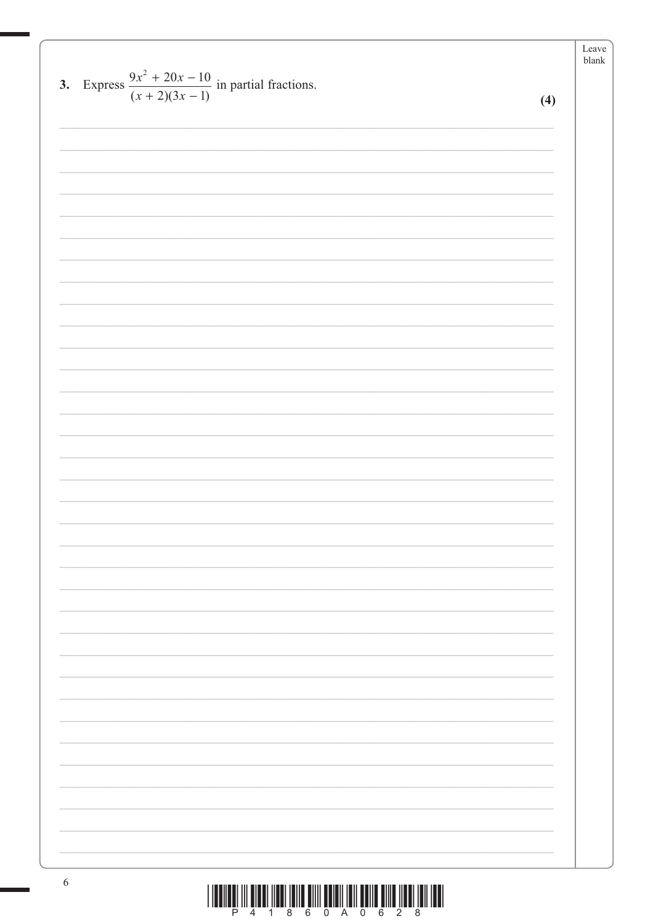Leave blank 3. Express  $\frac{9x^2 + 20x - 10}{(x+2)(3x-1)}$  in partial fractions.  $(4)$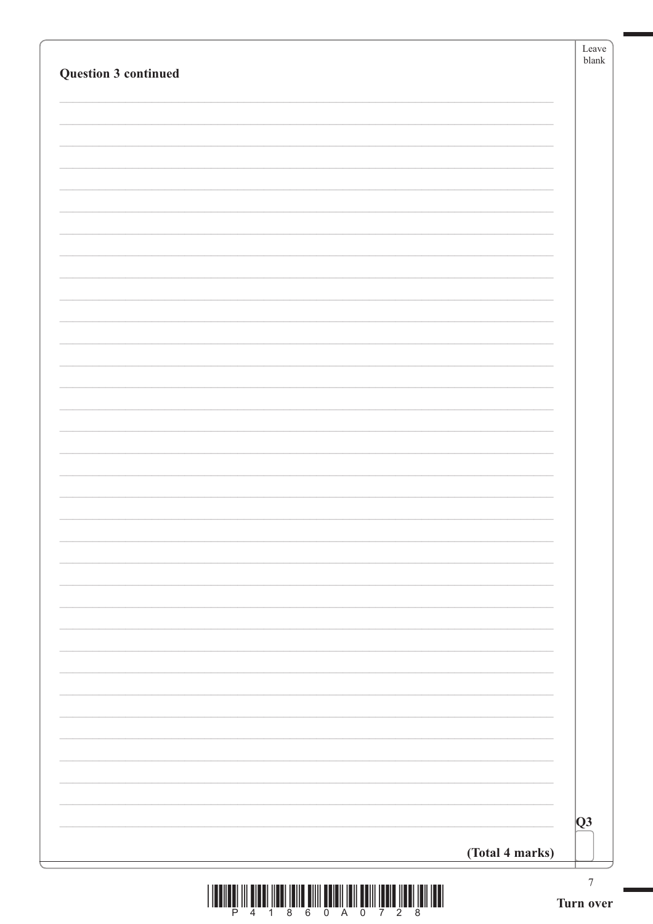| Question 3 continued |                 |
|----------------------|-----------------|
|                      |                 |
|                      |                 |
|                      |                 |
|                      |                 |
|                      |                 |
|                      |                 |
|                      |                 |
|                      |                 |
|                      |                 |
|                      |                 |
|                      |                 |
|                      |                 |
|                      |                 |
|                      |                 |
|                      |                 |
|                      |                 |
|                      |                 |
|                      |                 |
|                      |                 |
|                      | Q3              |
|                      | (Total 4 marks) |

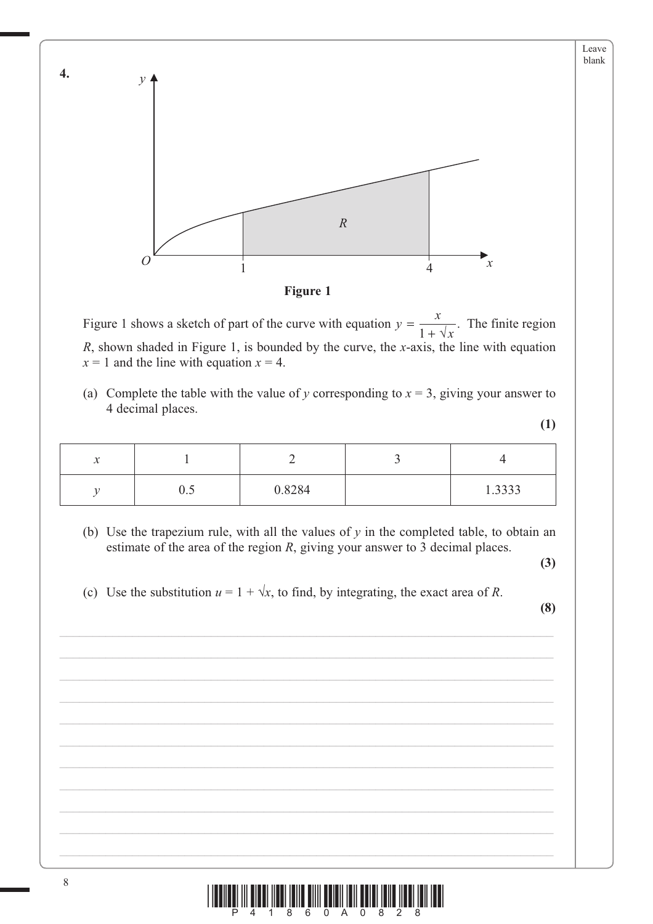

Figure 1 shows a sketch of part of the curve with equation  $y = \frac{x}{x}$  $=\frac{x}{1+\sqrt{x}}$ . The finite region *R*, shown shaded in Figure 1, is bounded by the curve, the *x*-axis, the line with equation  $x = 1$  and the line with equation  $x = 4$ .

(a) Complete the table with the value of *y* corresponding to  $x = 3$ , giving your answer to 4 decimal places.

**(1)**

| $\mathbf{A}$<br>$\boldsymbol{\mathcal{N}}$ |                         |        |        |  |  |
|--------------------------------------------|-------------------------|--------|--------|--|--|
|                                            | $\mathsf{v}.\mathsf{v}$ | 0.8284 | 1.3333 |  |  |

 (b) Use the trapezium rule, with all the values of *y* in the completed table, to obtain an estimate of the area of the region *R*, giving your answer to 3 decimal places.

**(3)**

(c) Use the substitution  $u = 1 + \sqrt{x}$ , to find, by integrating, the exact area of *R*.

**(8)**

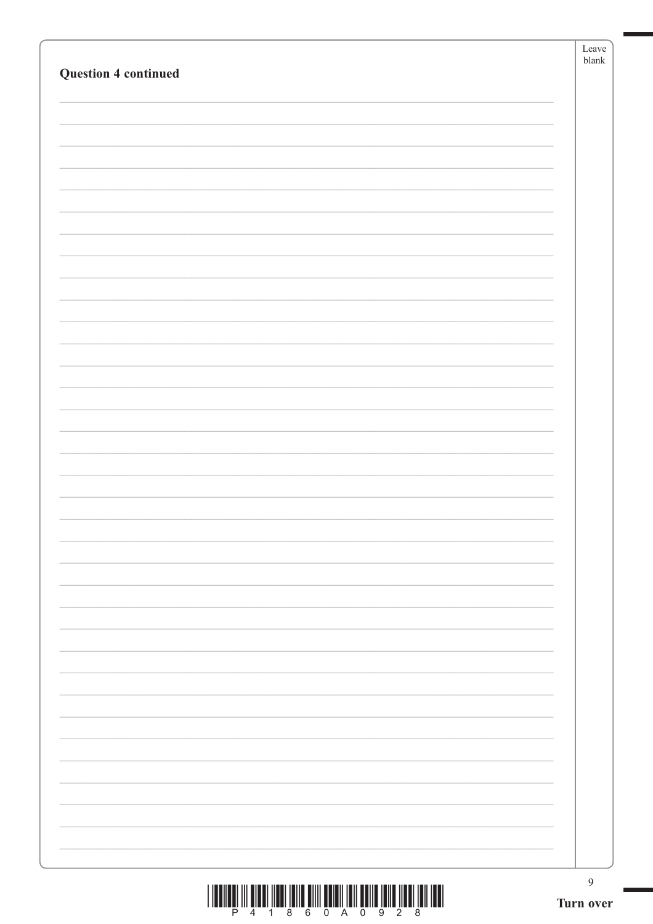| <b>Question 4 continued</b> |  |
|-----------------------------|--|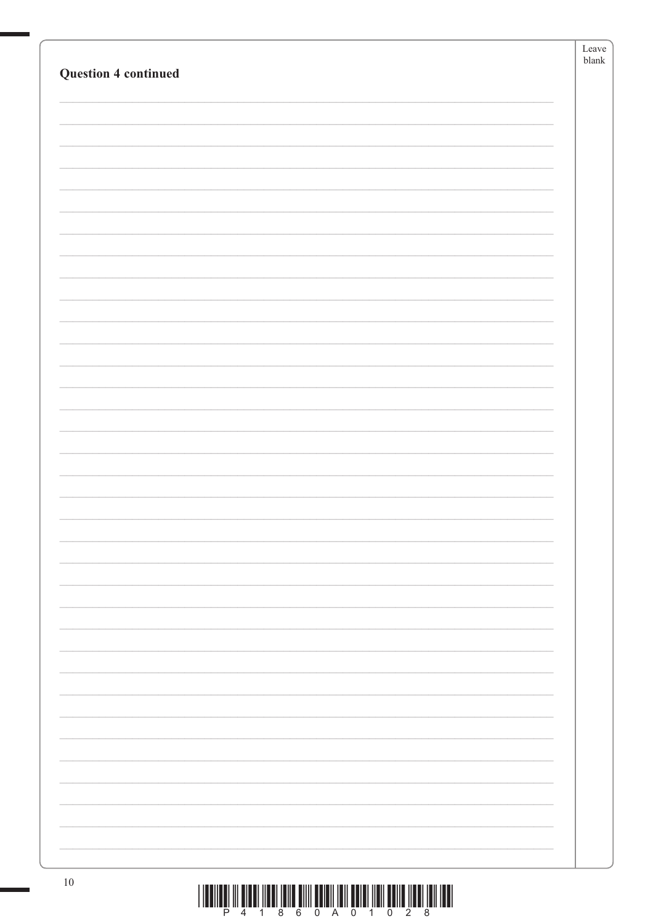|                                                                                                                                  | Leave    |
|----------------------------------------------------------------------------------------------------------------------------------|----------|
| <b>Question 4 continued</b>                                                                                                      | $b$ lank |
|                                                                                                                                  |          |
|                                                                                                                                  |          |
|                                                                                                                                  |          |
|                                                                                                                                  |          |
|                                                                                                                                  |          |
|                                                                                                                                  |          |
|                                                                                                                                  |          |
|                                                                                                                                  |          |
|                                                                                                                                  |          |
|                                                                                                                                  |          |
|                                                                                                                                  |          |
|                                                                                                                                  |          |
|                                                                                                                                  |          |
|                                                                                                                                  |          |
|                                                                                                                                  |          |
|                                                                                                                                  |          |
|                                                                                                                                  |          |
|                                                                                                                                  |          |
|                                                                                                                                  |          |
|                                                                                                                                  |          |
|                                                                                                                                  |          |
|                                                                                                                                  |          |
|                                                                                                                                  |          |
|                                                                                                                                  |          |
|                                                                                                                                  |          |
|                                                                                                                                  |          |
|                                                                                                                                  |          |
|                                                                                                                                  |          |
|                                                                                                                                  |          |
|                                                                                                                                  |          |
|                                                                                                                                  |          |
|                                                                                                                                  |          |
|                                                                                                                                  |          |
|                                                                                                                                  |          |
|                                                                                                                                  |          |
|                                                                                                                                  |          |
|                                                                                                                                  |          |
|                                                                                                                                  |          |
|                                                                                                                                  |          |
|                                                                                                                                  |          |
|                                                                                                                                  |          |
|                                                                                                                                  |          |
| $10\,$<br><u>. I sa matang tito ang ang tinang tanggang matang taong matang na tinang taong taong taong taong taong taong ma</u> |          |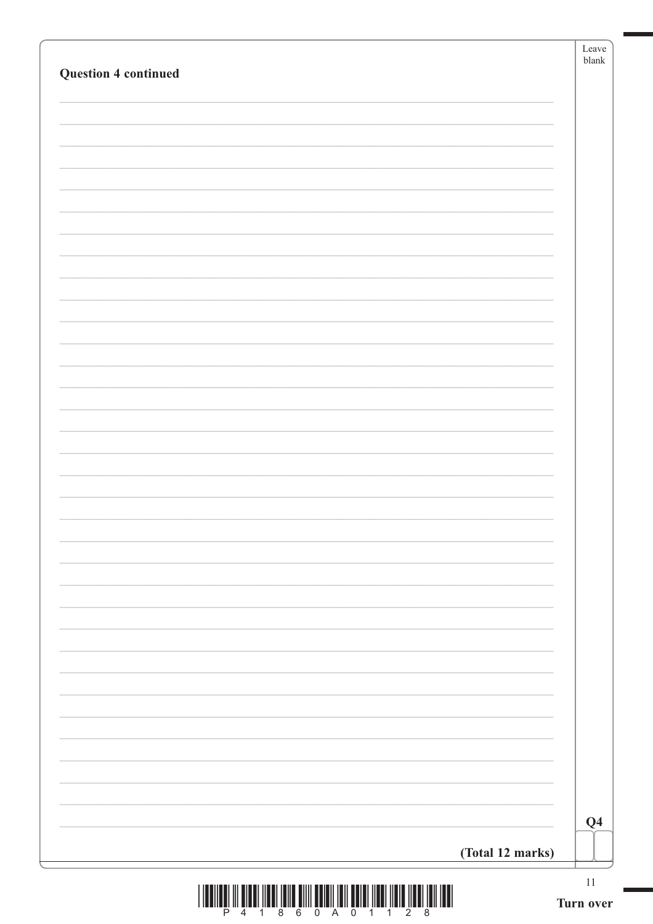| <b>Question 4 continued</b> |                  | Leave<br>$b$ lank |
|-----------------------------|------------------|-------------------|
|                             |                  |                   |
|                             |                  |                   |
|                             |                  |                   |
|                             |                  |                   |
|                             |                  |                   |
|                             |                  |                   |
|                             |                  |                   |
|                             |                  |                   |
|                             |                  |                   |
|                             |                  |                   |
|                             |                  |                   |
|                             |                  |                   |
|                             |                  |                   |
|                             |                  |                   |
|                             |                  |                   |
|                             |                  |                   |
|                             |                  |                   |
|                             |                  |                   |
|                             |                  |                   |
|                             |                  |                   |
|                             |                  |                   |
|                             |                  |                   |
|                             |                  |                   |
|                             |                  |                   |
|                             |                  |                   |
|                             |                  |                   |
|                             |                  |                   |
|                             |                  |                   |
|                             |                  |                   |
|                             |                  |                   |
|                             |                  |                   |
|                             |                  |                   |
|                             |                  |                   |
|                             |                  |                   |
|                             |                  |                   |
|                             |                  | Q <sub>4</sub>    |
|                             | (Total 12 marks) |                   |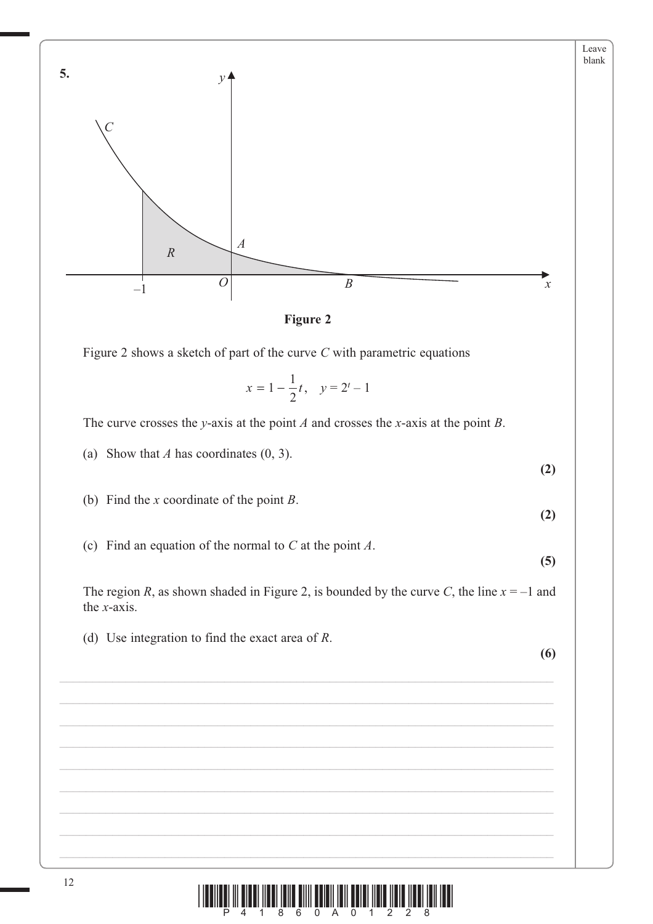

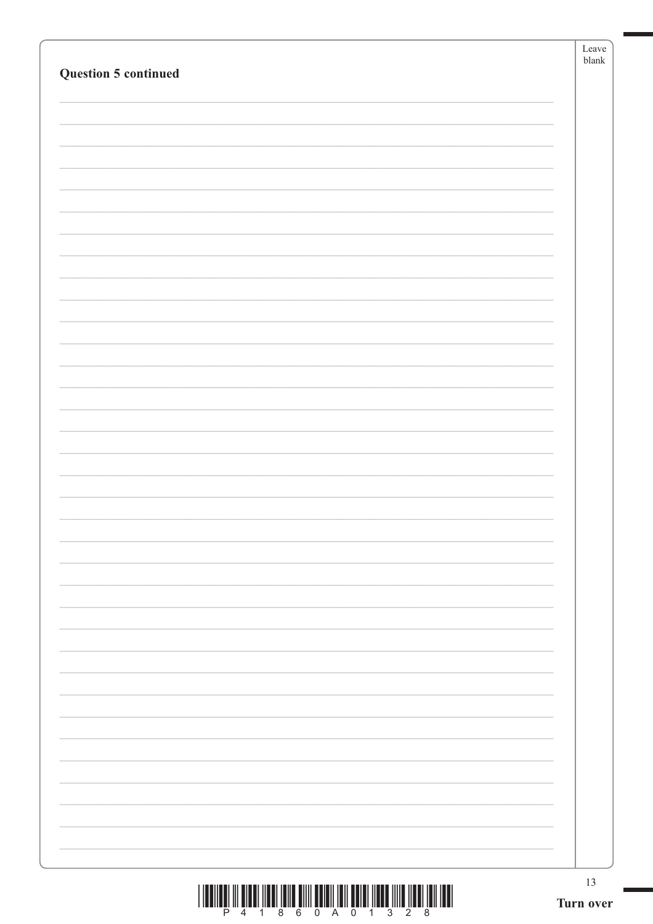| <b>Question 5 continued</b> | $b$ lank |
|-----------------------------|----------|
|                             |          |
|                             |          |
|                             |          |
|                             |          |
|                             |          |
|                             |          |
|                             |          |
|                             |          |
|                             |          |
|                             |          |
|                             |          |
|                             |          |
|                             |          |
|                             |          |
|                             |          |
|                             |          |
|                             |          |
|                             |          |
|                             |          |
|                             |          |
|                             |          |
|                             |          |
|                             |          |
|                             |          |
|                             |          |
|                             |          |
|                             |          |
|                             |          |
|                             |          |
|                             |          |
|                             |          |
|                             |          |
|                             |          |
|                             |          |
|                             |          |
|                             |          |
|                             |          |
|                             |          |
|                             |          |

N.

 $\begin{array}{c} \text{||llullg||} \\ \text{||llullg||} \\ \text{||llullg||} \end{array} \begin{array}{c} \text{||llullg||} \\ \text{||llllg} \\ \text{||llllg} \\ \text{||llllg} \end{array} \begin{array}{c} \text{||llllg} \\ \text{||llllg} \\ \text{||llllg} \\ \text{||llllg} \\ \text{||llllg} \\ \text{||llllg} \end{array} \begin{array}{c} \text{||llllg} \\ \text{||llllg} \\ \text{||llllg} \\ \text{||llllg} \\ \text{||llllg} \\ \text{||llllg} \\ \text{||ll$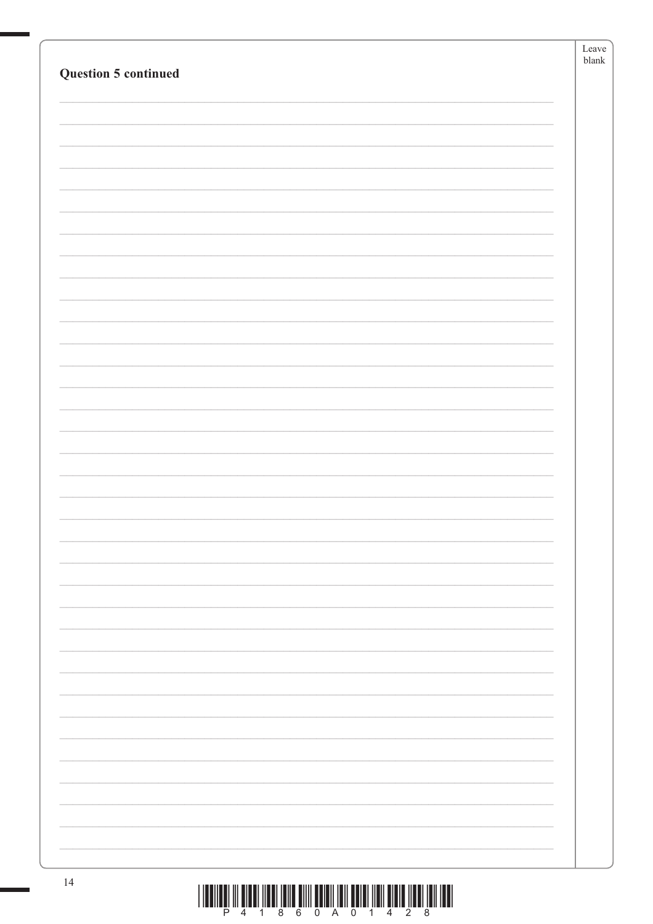|                      | Leave         |
|----------------------|---------------|
|                      | ${\tt blank}$ |
| Question 5 continued |               |
|                      |               |
|                      |               |
|                      |               |
|                      |               |
|                      |               |
|                      |               |
|                      |               |
|                      |               |
|                      |               |
|                      |               |
|                      |               |
|                      |               |
|                      |               |
|                      |               |
|                      |               |
|                      |               |
|                      |               |
|                      |               |
|                      |               |
|                      |               |
|                      |               |
|                      |               |
|                      |               |
|                      |               |
|                      |               |
|                      |               |
|                      |               |
|                      |               |
|                      |               |
|                      |               |
|                      |               |
|                      |               |
|                      |               |
|                      |               |
|                      |               |
|                      |               |
|                      |               |
|                      |               |
|                      |               |
|                      |               |
|                      |               |
|                      |               |
|                      |               |
|                      |               |
|                      |               |
|                      |               |
|                      |               |
|                      |               |
|                      |               |
| 14                   |               |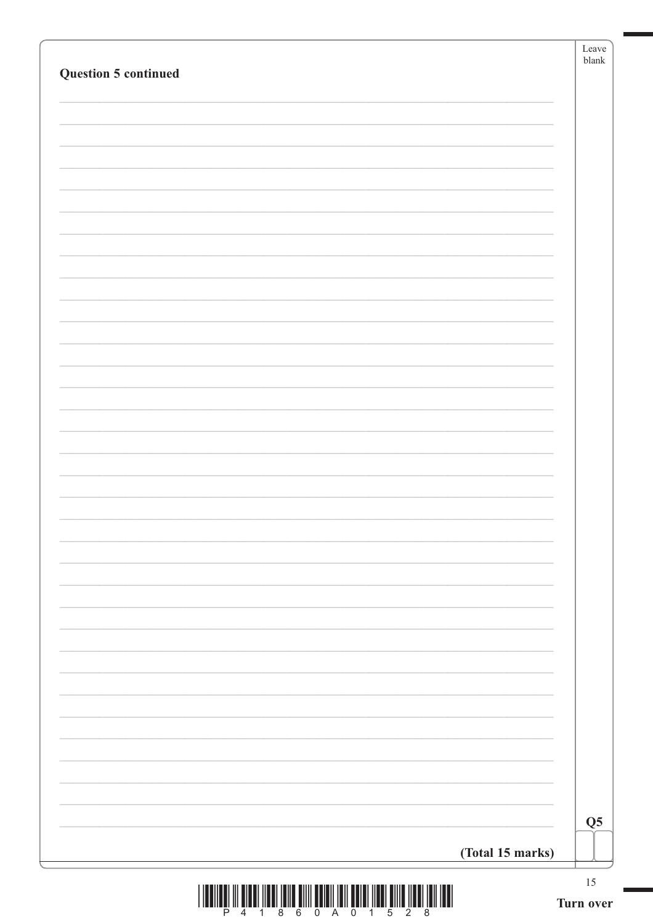| Question 5 continued |                  |
|----------------------|------------------|
|                      |                  |
|                      |                  |
|                      |                  |
|                      |                  |
|                      |                  |
|                      |                  |
|                      |                  |
|                      |                  |
|                      |                  |
|                      |                  |
|                      |                  |
|                      |                  |
|                      |                  |
|                      |                  |
|                      |                  |
|                      |                  |
|                      |                  |
|                      |                  |
|                      |                  |
|                      |                  |
|                      |                  |
|                      |                  |
|                      |                  |
|                      |                  |
|                      |                  |
|                      |                  |
|                      |                  |
|                      | (Total 15 marks) |

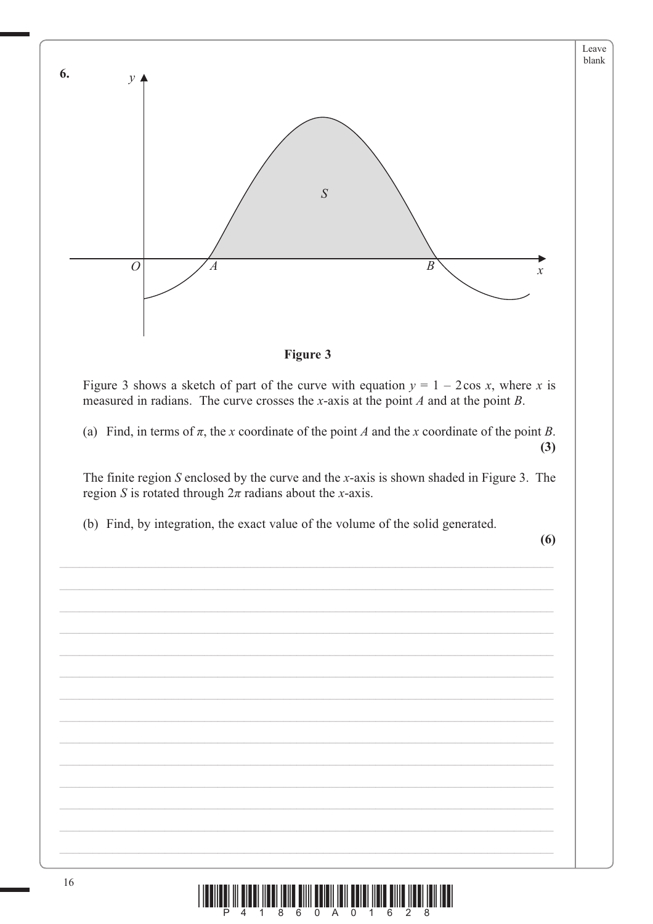

<u>n m tırın hali ilmi tım balındırın yalı hali tımı hal</u>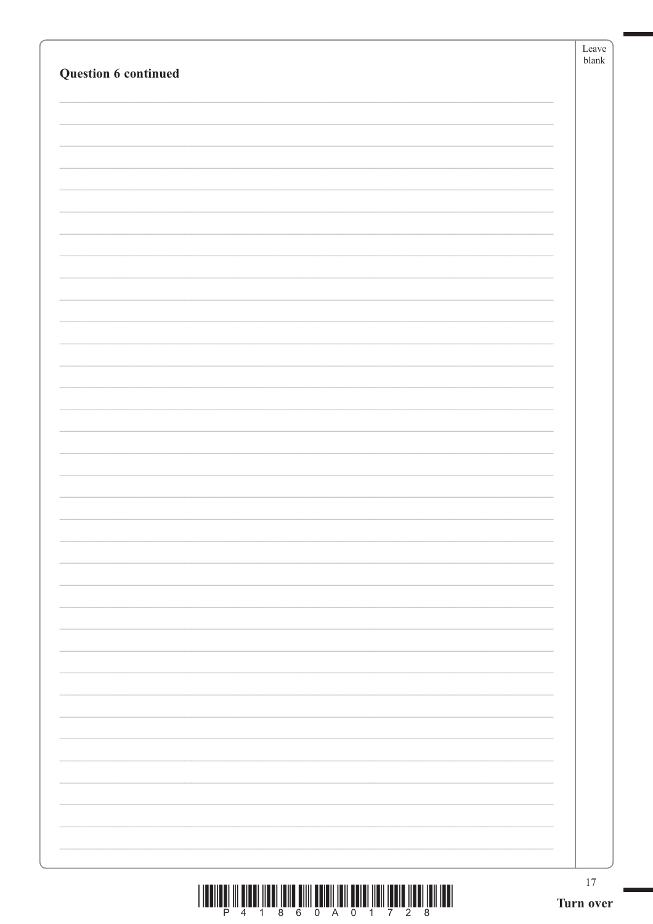|                      | Leave<br>${\tt blank}$ |
|----------------------|------------------------|
| Question 6 continued |                        |
|                      |                        |
|                      |                        |
|                      |                        |
|                      |                        |
|                      |                        |
|                      |                        |
|                      |                        |
|                      |                        |
|                      |                        |
|                      |                        |
|                      |                        |
|                      |                        |
|                      |                        |
|                      |                        |
|                      |                        |
|                      |                        |
|                      |                        |
|                      |                        |
|                      |                        |
|                      |                        |
|                      |                        |
|                      |                        |
|                      |                        |
|                      |                        |
|                      |                        |
|                      |                        |
|                      |                        |
|                      |                        |
|                      |                        |
|                      |                        |
|                      |                        |
|                      |                        |
|                      |                        |
|                      |                        |
|                      |                        |
|                      |                        |
|                      | $17\,$                 |

 $\begin{array}{c} \text{||llulling III} \\ \text{||llulling III} \end{array} \begin{array}{c} \text{||llulling III} \\ \text{4} \end{array} \begin{array}{c} \text{||llulling III} \\ \text{8} \end{array} \begin{array}{c} \text{||llilling III} \\ \text{9} \end{array} \begin{array}{c} \text{||lllljulling III} \\ \text{1} \end{array} \begin{array}{c} \text{||lllljulling III} \\ \text{1} \end{array} \begin{array}{c} \text{||lllljulling III} \\ \text{1} \end{array} \begin{array}{c} \text{||lllljulling III} \\ \text$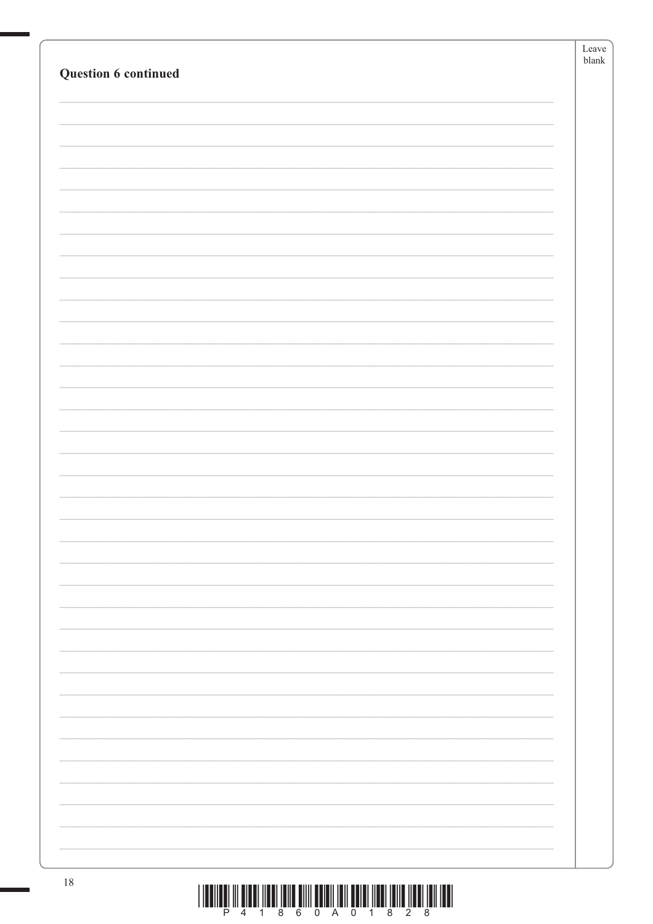|                      | Leave    |
|----------------------|----------|
| Question 6 continued | $b$ lank |
|                      |          |
|                      |          |
|                      |          |
|                      |          |
|                      |          |
|                      |          |
|                      |          |
|                      |          |
|                      |          |
|                      |          |
|                      |          |
|                      |          |
|                      |          |
|                      |          |
|                      |          |
|                      |          |
|                      |          |
|                      |          |
|                      |          |
|                      |          |
|                      |          |
|                      |          |
|                      |          |
|                      |          |
|                      |          |
|                      |          |
|                      |          |
|                      |          |
|                      |          |
|                      |          |
|                      |          |
|                      |          |
|                      |          |
|                      |          |
|                      |          |
|                      |          |
|                      |          |
|                      |          |
|                      |          |
|                      |          |
|                      |          |
| 18                   |          |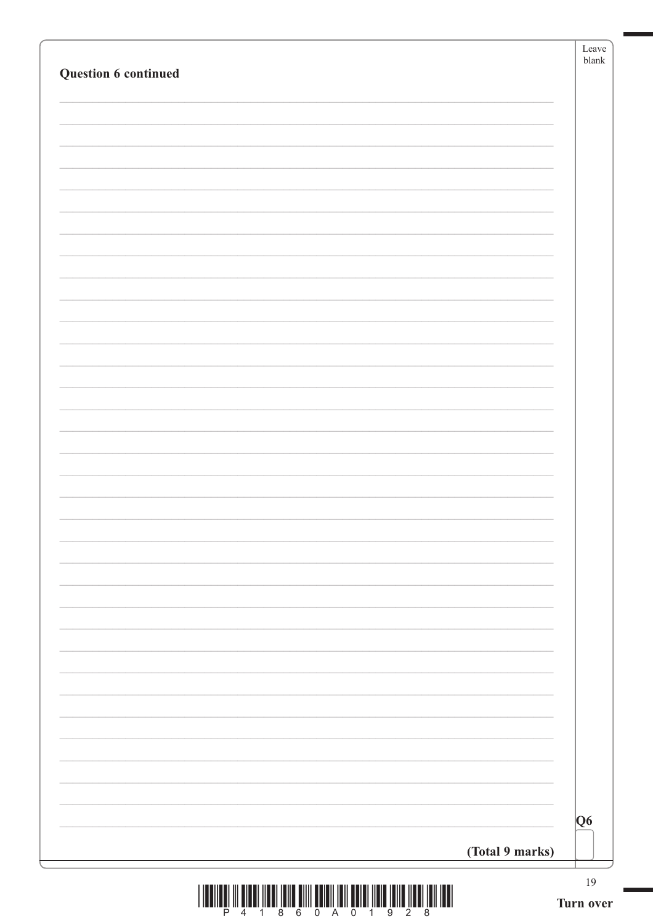| Question 6 continued |                 |                |
|----------------------|-----------------|----------------|
|                      |                 |                |
|                      |                 |                |
|                      |                 |                |
|                      |                 |                |
|                      |                 |                |
|                      |                 |                |
|                      |                 |                |
|                      |                 |                |
|                      |                 |                |
|                      |                 |                |
|                      |                 |                |
|                      |                 |                |
|                      |                 |                |
|                      |                 |                |
|                      |                 |                |
|                      |                 |                |
|                      |                 |                |
|                      |                 |                |
|                      |                 |                |
|                      |                 |                |
|                      |                 |                |
|                      |                 | Q <sub>6</sub> |
|                      | (Total 9 marks) |                |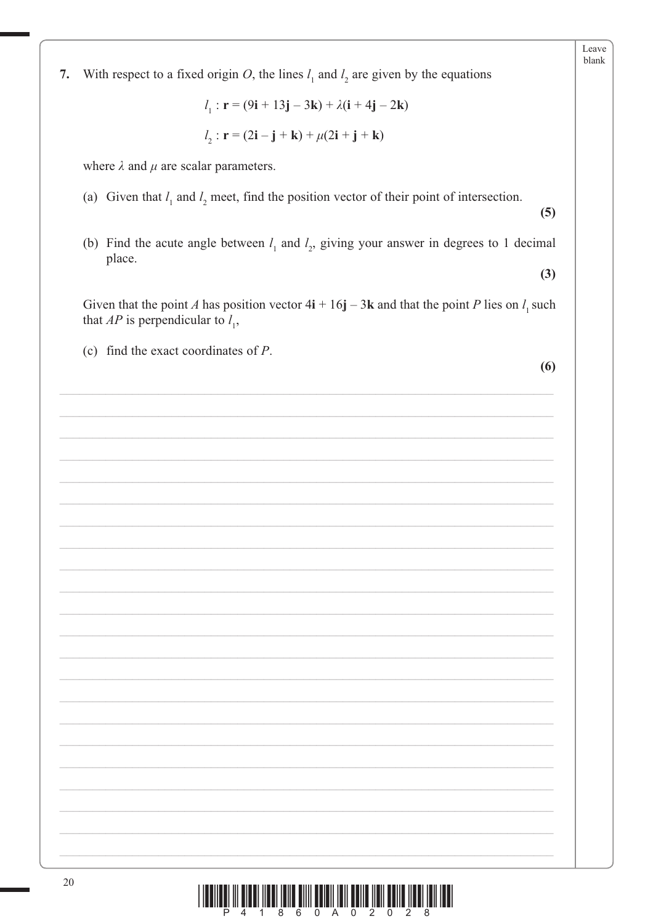With respect to a fixed origin O, the lines  $l_1$  and  $l_2$  are given by the equations 7.

 $l_1$ :  $\mathbf{r} = (9\mathbf{i} + 13\mathbf{j} - 3\mathbf{k}) + \lambda(\mathbf{i} + 4\mathbf{j} - 2\mathbf{k})$ 

$$
l_2: \mathbf{r} = (2\mathbf{i} - \mathbf{j} + \mathbf{k}) + \mu(2\mathbf{i} + \mathbf{j} + \mathbf{k})
$$

where  $\lambda$  and  $\mu$  are scalar parameters.

(a) Given that  $l_1$  and  $l_2$  meet, find the position vector of their point of intersection.

 $(5)$ 

Leave  $blank$ 

(b) Find the acute angle between  $l_1$  and  $l_2$ , giving your answer in degrees to 1 decimal place.  $(3)$ 

Given that the point A has position vector  $4i + 16j - 3k$  and that the point P lies on  $l_1$  such that  $AP$  is perpendicular to  $l_1$ ,

(c) find the exact coordinates of  $P$ .

 $(6)$ 

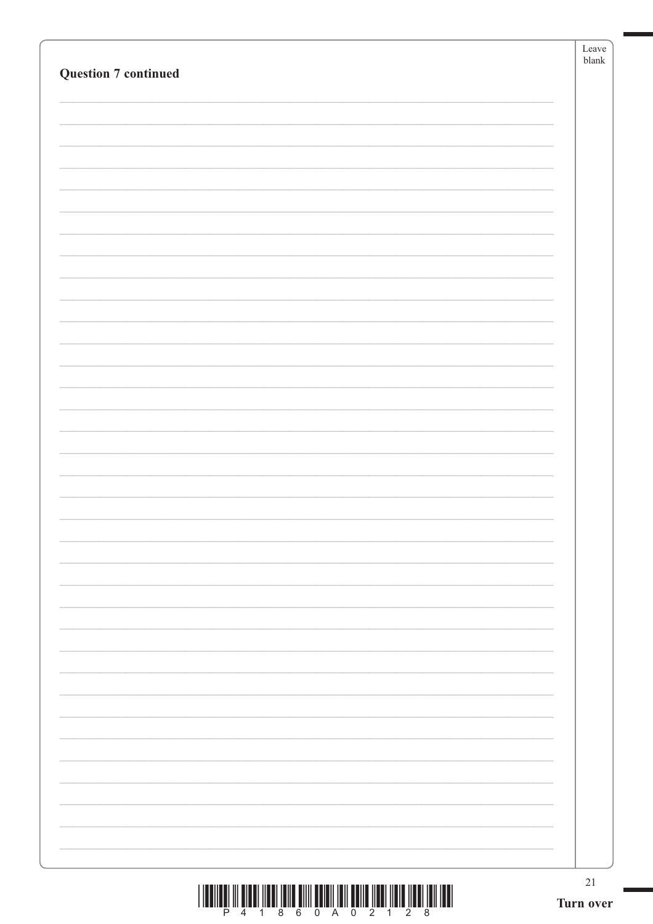| <b>Question 7 continued</b> | Leave<br>blank      |
|-----------------------------|---------------------|
|                             |                     |
|                             |                     |
|                             |                     |
|                             |                     |
|                             |                     |
|                             |                     |
|                             |                     |
|                             |                     |
|                             |                     |
|                             |                     |
|                             |                     |
|                             |                     |
|                             |                     |
|                             |                     |
|                             |                     |
|                             |                     |
|                             |                     |
|                             |                     |
|                             |                     |
|                             |                     |
|                             |                     |
|                             |                     |
|                             |                     |
|                             | $21\,$<br>Turn over |

 $\overline{\phantom{0}}$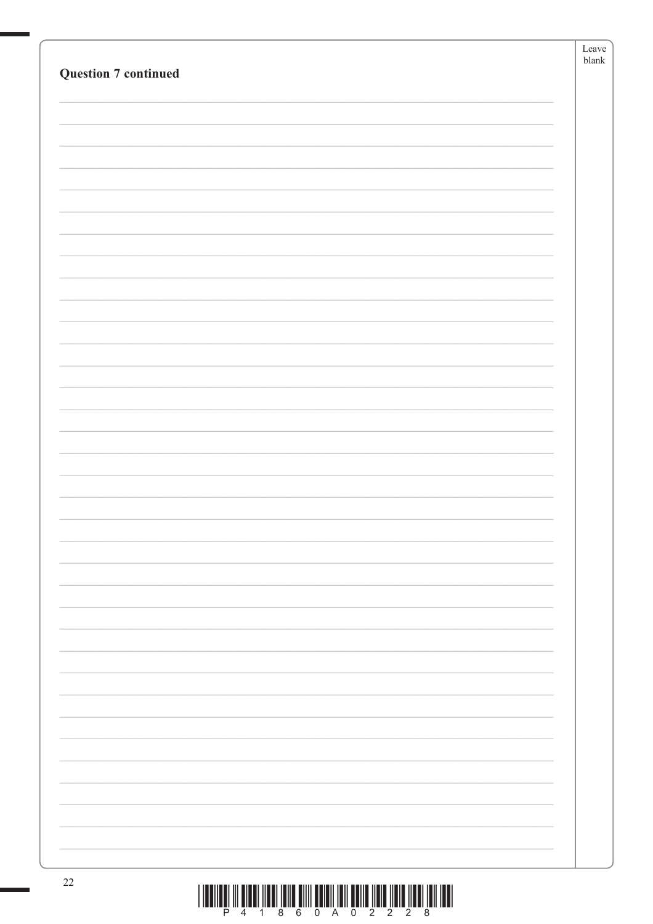| <b>Question 7 continued</b> | Leave<br>${\tt blank}$ |
|-----------------------------|------------------------|
|                             |                        |
|                             |                        |
|                             |                        |
|                             |                        |
|                             |                        |
|                             |                        |
|                             |                        |
|                             |                        |
|                             |                        |
|                             |                        |
|                             |                        |
|                             |                        |
|                             |                        |
|                             |                        |
|                             |                        |
|                             |                        |
|                             |                        |
|                             |                        |
|                             |                        |
|                             |                        |
|                             |                        |
|                             |                        |
|                             |                        |
|                             |                        |
|                             |                        |
| 22                          |                        |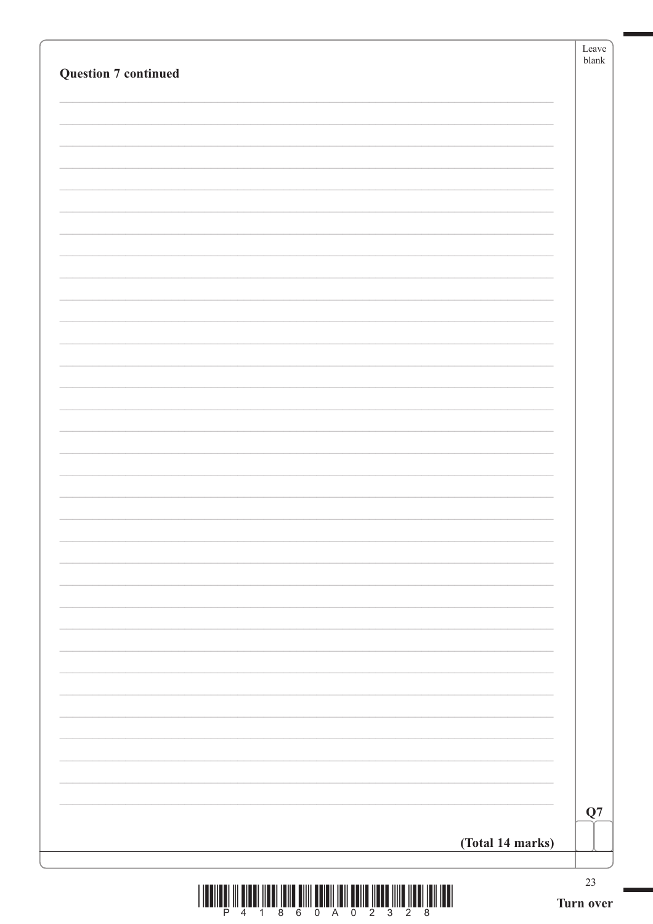|                             | Leave<br>$b$ lank |
|-----------------------------|-------------------|
| <b>Question 7 continued</b> |                   |
|                             |                   |
|                             |                   |
|                             |                   |
|                             |                   |
|                             |                   |
|                             |                   |
|                             |                   |
|                             |                   |
|                             |                   |
|                             |                   |
|                             |                   |
|                             |                   |
|                             |                   |
|                             |                   |
|                             |                   |
|                             |                   |
|                             |                   |
|                             |                   |
|                             |                   |
|                             |                   |
|                             |                   |
|                             |                   |
|                             |                   |
|                             |                   |
|                             |                   |
|                             |                   |
|                             |                   |
|                             |                   |
|                             | Q7                |
| (Total 14 marks)            |                   |
|                             |                   |

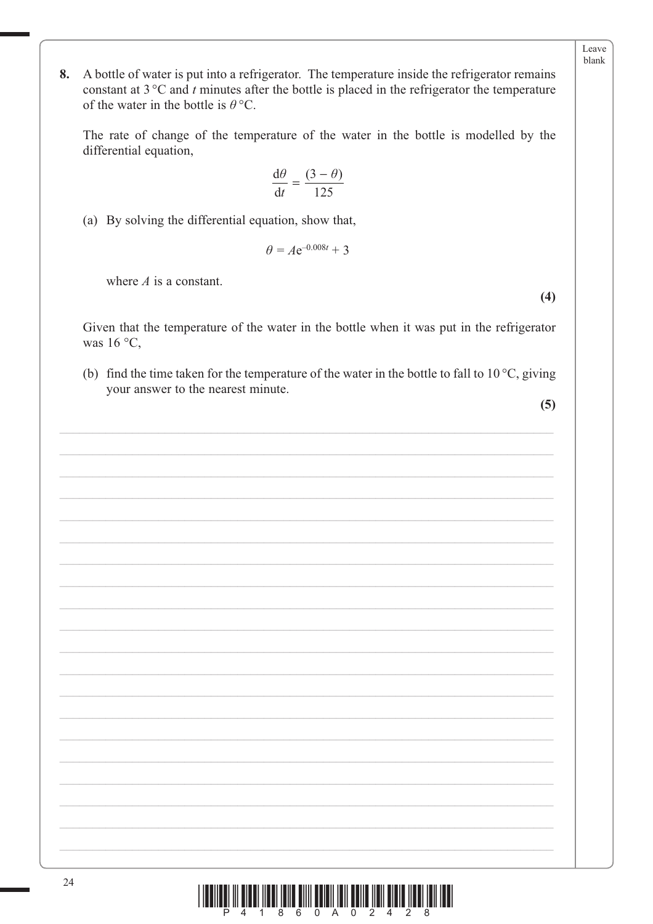Leave blank

A bottle of water is put into a refrigerator. The temperature inside the refrigerator remains 8. constant at  $3^{\circ}$ C and t minutes after the bottle is placed in the refrigerator the temperature of the water in the bottle is  $\theta$  °C.

The rate of change of the temperature of the water in the bottle is modelled by the differential equation,

$$
\frac{\mathrm{d}\theta}{\mathrm{d}t} = \frac{(3-\theta)}{125}
$$

(a) By solving the differential equation, show that,

$$
\theta = Ae^{-0.008t} + 3
$$

where  $\vec{A}$  is a constant.

 $(4)$ 

Given that the temperature of the water in the bottle when it was put in the refrigerator was  $16^{\circ}$ C,

(b) find the time taken for the temperature of the water in the bottle to fall to  $10^{\circ}$ C, giving your answer to the nearest minute.

 $(5)$ 

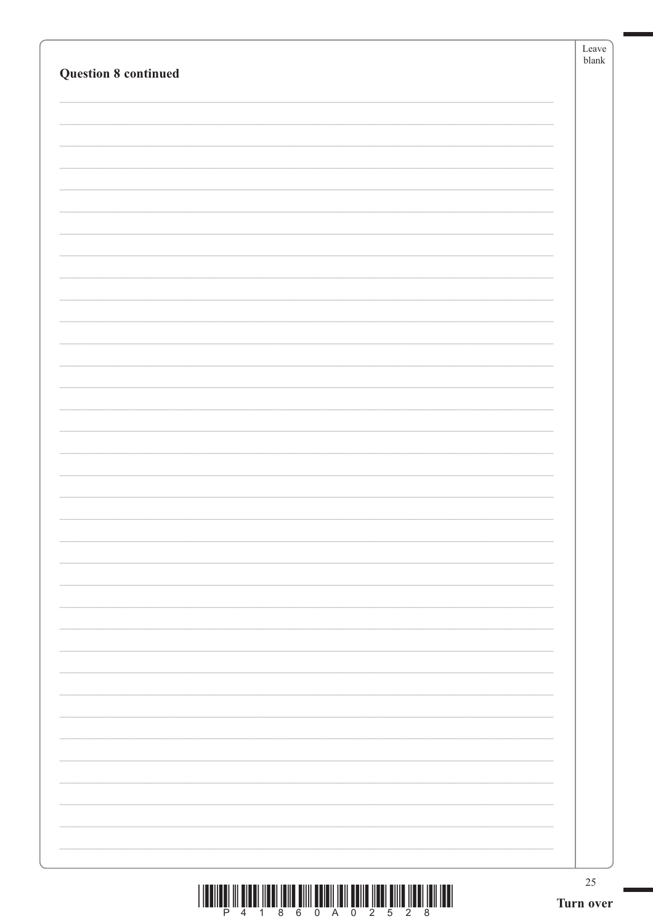|                             | Leave<br>${\tt blank}$ |
|-----------------------------|------------------------|
| <b>Question 8 continued</b> |                        |
|                             |                        |
|                             |                        |
|                             |                        |
|                             |                        |
|                             |                        |
|                             |                        |
|                             |                        |
|                             |                        |
|                             |                        |
|                             |                        |
|                             |                        |
|                             |                        |
|                             |                        |
|                             |                        |
|                             |                        |
|                             |                        |
|                             |                        |
|                             |                        |
|                             |                        |
|                             |                        |
|                             |                        |
|                             |                        |
|                             |                        |
|                             |                        |
|                             |                        |
|                             |                        |
|                             |                        |
|                             |                        |
|                             |                        |
|                             |                        |
|                             |                        |
|                             |                        |
|                             |                        |
|                             |                        |
|                             |                        |
|                             |                        |
|                             |                        |
|                             |                        |
|                             |                        |
|                             |                        |
|                             |                        |
|                             |                        |

 $\overline{\phantom{0}}$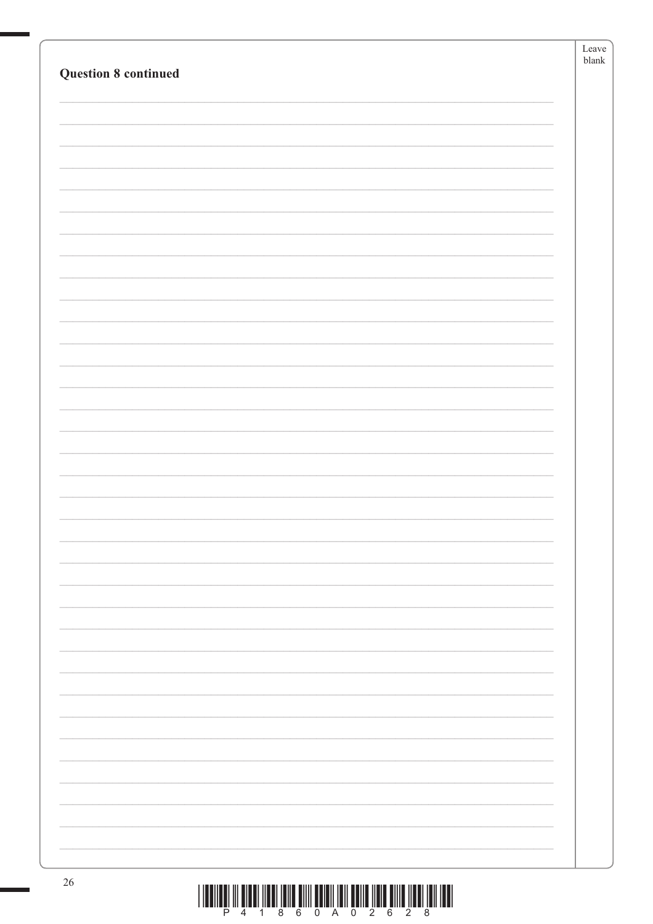| ${\it blank}$<br><b>Question 8 continued</b> |
|----------------------------------------------|
|                                              |
|                                              |
|                                              |
|                                              |
|                                              |
|                                              |
|                                              |
|                                              |
|                                              |
|                                              |
|                                              |
|                                              |
|                                              |
|                                              |
|                                              |
|                                              |
|                                              |
|                                              |
|                                              |
|                                              |
|                                              |
|                                              |
|                                              |
|                                              |
|                                              |
|                                              |
|                                              |
|                                              |
|                                              |
|                                              |
|                                              |
|                                              |
|                                              |
| 26                                           |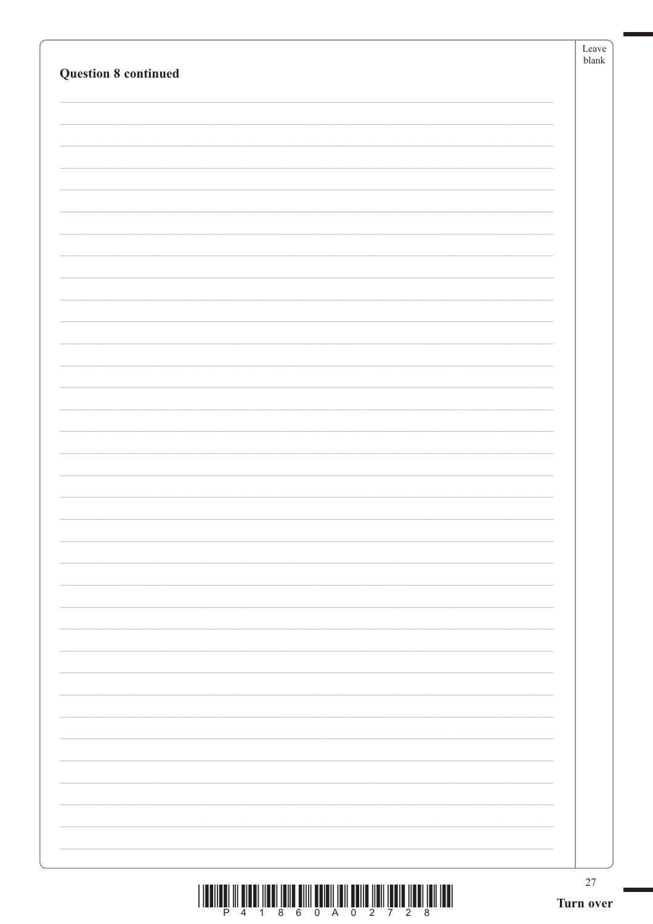|                             | Leave<br>$b$ lank |
|-----------------------------|-------------------|
| <b>Question 8 continued</b> |                   |
|                             |                   |
|                             |                   |
|                             |                   |
|                             |                   |
|                             |                   |
|                             |                   |
|                             |                   |
|                             |                   |
|                             |                   |
|                             |                   |
|                             |                   |
|                             |                   |
|                             |                   |
|                             |                   |
|                             |                   |
|                             |                   |
|                             |                   |
|                             |                   |
|                             |                   |
|                             |                   |
|                             |                   |
|                             |                   |
|                             |                   |
|                             |                   |
|                             |                   |
|                             |                   |
|                             |                   |
|                             |                   |
|                             |                   |
|                             |                   |
|                             |                   |
|                             |                   |
|                             |                   |
|                             |                   |
|                             |                   |
|                             |                   |
|                             | $27\,$            |

 $\boxed{\frac{1}{2}\prod_{i=1}^{n}\prod_{j=1}^{n}\prod_{j=1}^{n}\prod_{j=1}^{n}\prod_{j=1}^{n}\prod_{j=1}^{n}\prod_{j=1}^{n}\prod_{j=1}^{n}\prod_{j=1}^{n}\prod_{j=1}^{n}\prod_{j=1}^{n}\prod_{j=1}^{n}\prod_{j=1}^{n}\prod_{j=1}^{n}\prod_{j=1}^{n}\prod_{j=1}^{n}\prod_{j=1}^{n}\prod_{j=1}^{n}}$